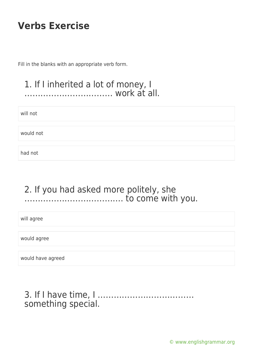Fill in the blanks with an appropriate verb form.

#### 1. If I inherited a lot of money, I …………………………… work at all.

will not

would not

had not

### 2. If you had asked more politely, she ………………………………. to come with you.

will agree

would agree

would have agreed

3. If I have time, I ……………………………… something special.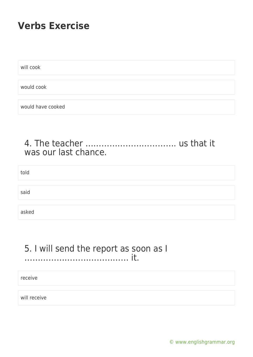will cook

would cook

would have cooked

#### 4. The teacher ……………………………. us that it was our last chance.

told

said

asked

#### 5. I will send the report as soon as I ………………………………… it.

receive

will receive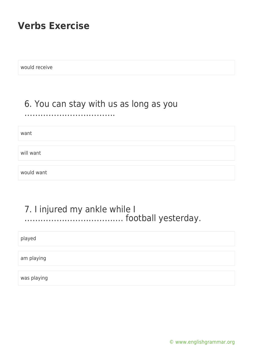would receive

### 6. You can stay with us as long as you

…………………………………………

want

will want

would want

#### 7. I injured my ankle while I ………………………………. football yesterday.

played

am playing

was playing

[© www.englishgrammar.org](https://www.englishgrammar.org/)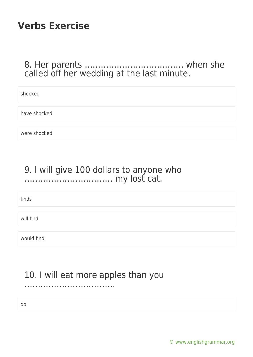### 8. Her parents ………………………………. when she called off her wedding at the last minute.

| shocked      |  |
|--------------|--|
|              |  |
|              |  |
| have shocked |  |
|              |  |
|              |  |
| were shocked |  |

### 9. I will give 100 dollars to anyone who …………………………… my lost cat.

finds

will find

would find

### 10. I will eat more apples than you

……………………………………………

do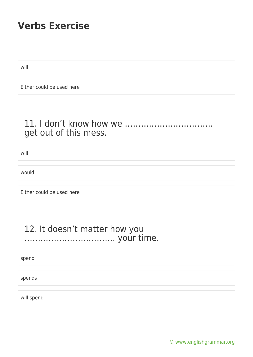will

Either could be used here

### 11. I don't know how we …………………………… get out of this mess.

will

would

Either could be used here

#### 12. It doesn't matter how you ……………………………. your time.

spend

spends

will spend